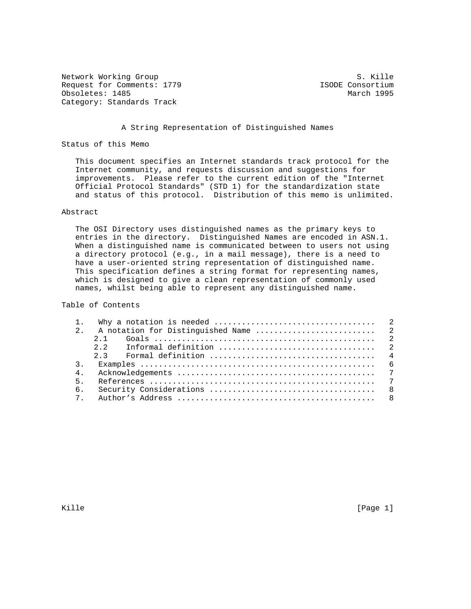Network Working Group S. Kille Request for Comments: 1779 <br>
Obsoletes: 1485 <br>
March 1995 Obsoletes: 1485 Category: Standards Track

#### A String Representation of Distinguished Names

Status of this Memo

 This document specifies an Internet standards track protocol for the Internet community, and requests discussion and suggestions for improvements. Please refer to the current edition of the "Internet Official Protocol Standards" (STD 1) for the standardization state and status of this protocol. Distribution of this memo is unlimited.

## Abstract

 The OSI Directory uses distinguished names as the primary keys to entries in the directory. Distinguished Names are encoded in ASN.1. When a distinguished name is communicated between to users not using a directory protocol (e.g., in a mail message), there is a need to have a user-oriented string representation of distinguished name. This specification defines a string format for representing names, which is designed to give a clean representation of commonly used names, whilst being able to represent any distinguished name.

Table of Contents

| 4 <sub>1</sub> |  |
|----------------|--|
| 5 <sub>1</sub> |  |
| б.             |  |
|                |  |

Kille [Page 1] [Page 1] [Page 1] [Page 1] [Page 1] [Page 1]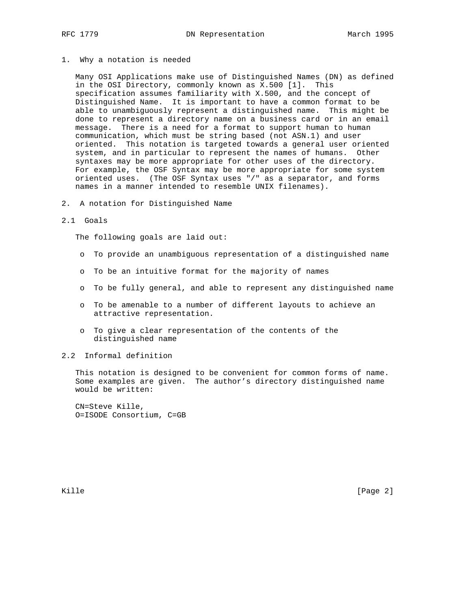### 1. Why a notation is needed

 Many OSI Applications make use of Distinguished Names (DN) as defined in the OSI Directory, commonly known as X.500 [1]. This specification assumes familiarity with X.500, and the concept of Distinguished Name. It is important to have a common format to be able to unambiguously represent a distinguished name. This might be done to represent a directory name on a business card or in an email message. There is a need for a format to support human to human communication, which must be string based (not ASN.1) and user oriented. This notation is targeted towards a general user oriented system, and in particular to represent the names of humans. Other syntaxes may be more appropriate for other uses of the directory. For example, the OSF Syntax may be more appropriate for some system oriented uses. (The OSF Syntax uses "/" as a separator, and forms names in a manner intended to resemble UNIX filenames).

2. A notation for Distinguished Name

#### 2.1 Goals

The following goals are laid out:

- o To provide an unambiguous representation of a distinguished name
- o To be an intuitive format for the majority of names
- o To be fully general, and able to represent any distinguished name
- o To be amenable to a number of different layouts to achieve an attractive representation.
- o To give a clear representation of the contents of the distinguished name
- 2.2 Informal definition

 This notation is designed to be convenient for common forms of name. Some examples are given. The author's directory distinguished name would be written:

 CN=Steve Kille, O=ISODE Consortium, C=GB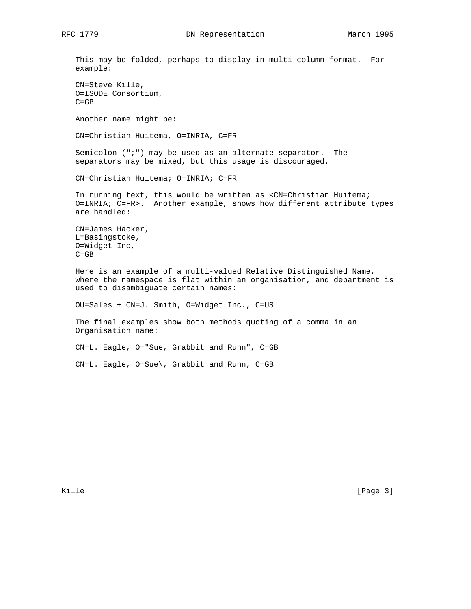This may be folded, perhaps to display in multi-column format. For example: CN=Steve Kille, O=ISODE Consortium,  $C = GB$  Another name might be: CN=Christian Huitema, O=INRIA, C=FR Semicolon (";") may be used as an alternate separator. The separators may be mixed, but this usage is discouraged. CN=Christian Huitema; O=INRIA; C=FR In running text, this would be written as <CN=Christian Huitema; O=INRIA; C=FR>. Another example, shows how different attribute types are handled: CN=James Hacker, L=Basingstoke, O=Widget Inc, C=GB Here is an example of a multi-valued Relative Distinguished Name, where the namespace is flat within an organisation, and department is used to disambiguate certain names: OU=Sales + CN=J. Smith, O=Widget Inc., C=US The final examples show both methods quoting of a comma in an Organisation name: CN=L. Eagle, O="Sue, Grabbit and Runn", C=GB CN=L. Eagle, O=Sue\, Grabbit and Runn, C=GB

Kille [Page 3]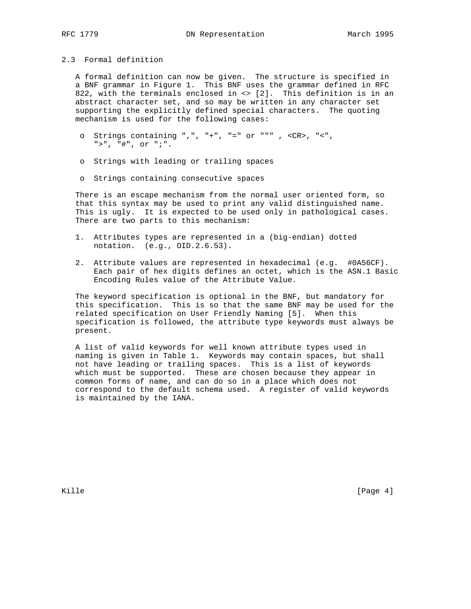## 2.3 Formal definition

 A formal definition can now be given. The structure is specified in a BNF grammar in Figure 1. This BNF uses the grammar defined in RFC 822, with the terminals enclosed in <> [2]. This definition is in an abstract character set, and so may be written in any character set supporting the explicitly defined special characters. The quoting mechanism is used for the following cases:

- o Strings containing ",", "+", "=" or """ , <CR>, "<", ">", "#", or ";".
- o Strings with leading or trailing spaces
- o Strings containing consecutive spaces

 There is an escape mechanism from the normal user oriented form, so that this syntax may be used to print any valid distinguished name. This is ugly. It is expected to be used only in pathological cases. There are two parts to this mechanism:

- 1. Attributes types are represented in a (big-endian) dotted notation. (e.g., OID.2.6.53).
- 2. Attribute values are represented in hexadecimal (e.g. #0A56CF). Each pair of hex digits defines an octet, which is the ASN.1 Basic Encoding Rules value of the Attribute Value.

 The keyword specification is optional in the BNF, but mandatory for this specification. This is so that the same BNF may be used for the related specification on User Friendly Naming [5]. When this specification is followed, the attribute type keywords must always be present.

 A list of valid keywords for well known attribute types used in naming is given in Table 1. Keywords may contain spaces, but shall not have leading or trailing spaces. This is a list of keywords which must be supported. These are chosen because they appear in common forms of name, and can do so in a place which does not correspond to the default schema used. A register of valid keywords is maintained by the IANA.

Kille [Page 4]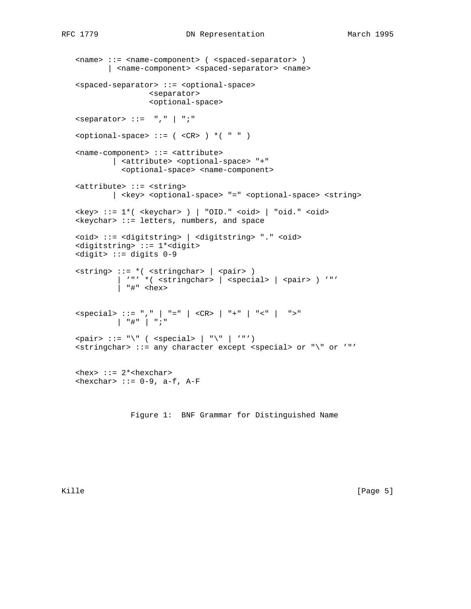```
 <name> ::= <name-component> ( <spaced-separator> )
          | <name-component> <spaced-separator> <name>
   <spaced-separator> ::= <optional-space>
                    <separator>
                     <optional-space>
   <separator> ::= "," | ";"
  \text{optional-space} ::= ( \text{CR} ) *( " " )
   <name-component> ::= <attribute>
            | <attribute> <optional-space> "+"
              <optional-space> <name-component>
   <attribute> ::= <string>
            | <key> <optional-space> "=" <optional-space> <string>
   <key> ::= 1*( <keychar> ) | "OID." <oid> | "oid." <oid>
  \langlekeychar> ::= letters, numbers, and space
   <oid> ::= <digitstring> | <digitstring> "." <oid>
   <digitstring> ::= 1*<digit>
   <digit> ::= digits 0-9
   <string> ::= *( <stringchar> | <pair> )
            | '"' *( <stringchar> | <special> | <pair> ) '"'
            | "#" <hex>
 <special> ::= "," | "=" | <CR> | "+" | "<" | ">"
 | "#" | ";"
  \text{spair} ::= "\" ( \text{seceial} | "\" | '"')
   <stringchar> ::= any character except <special> or "\" or '"'
  \text{<} hex> ::= 2*<hexchar>
  \langlehexchar> ::= 0-9, a-f, A-F
```
Figure 1: BNF Grammar for Distinguished Name

Kille [Page 5]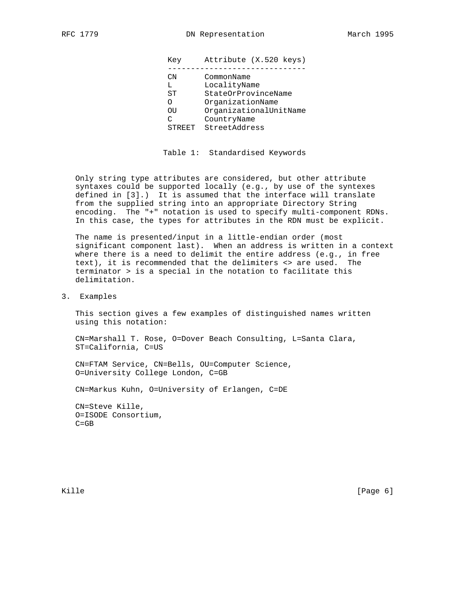| Key    | Attribute (X.520 keys) |
|--------|------------------------|
|        |                        |
| CN     | CommonName             |
| L      | LocalityName           |
| ST     | StateOrProvinceName    |
| O      | OrganizationName       |
| OU     | OrganizationalUnitName |
| C      | CountryName            |
| STREET | StreetAddress          |

Table 1: Standardised Keywords

 Only string type attributes are considered, but other attribute syntaxes could be supported locally (e.g., by use of the syntexes defined in [3].) It is assumed that the interface will translate from the supplied string into an appropriate Directory String encoding. The "+" notation is used to specify multi-component RDNs. In this case, the types for attributes in the RDN must be explicit.

 The name is presented/input in a little-endian order (most significant component last). When an address is written in a context where there is a need to delimit the entire address (e.g., in free text), it is recommended that the delimiters <> are used. The terminator > is a special in the notation to facilitate this delimitation.

3. Examples

 This section gives a few examples of distinguished names written using this notation:

 CN=Marshall T. Rose, O=Dover Beach Consulting, L=Santa Clara, ST=California, C=US

 CN=FTAM Service, CN=Bells, OU=Computer Science, O=University College London, C=GB

CN=Markus Kuhn, O=University of Erlangen, C=DE

 CN=Steve Kille, O=ISODE Consortium, C=GB

Kille [Page 6]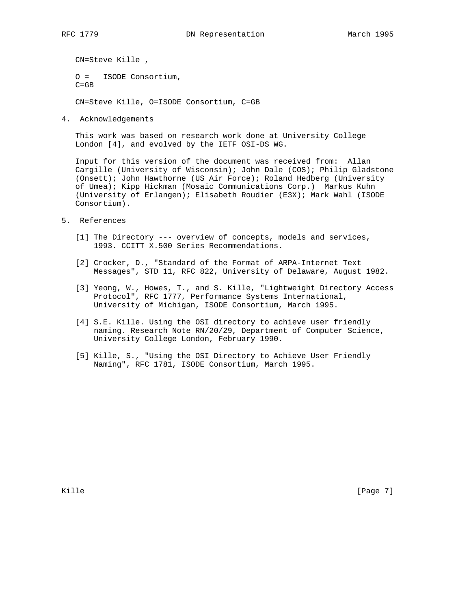CN=Steve Kille , O = ISODE Consortium, C=GB

CN=Steve Kille, O=ISODE Consortium, C=GB

4. Acknowledgements

 This work was based on research work done at University College London [4], and evolved by the IETF OSI-DS WG.

 Input for this version of the document was received from: Allan Cargille (University of Wisconsin); John Dale (COS); Philip Gladstone (Onsett); John Hawthorne (US Air Force); Roland Hedberg (University of Umea); Kipp Hickman (Mosaic Communications Corp.) Markus Kuhn (University of Erlangen); Elisabeth Roudier (E3X); Mark Wahl (ISODE Consortium).

- 5. References
	- [1] The Directory --- overview of concepts, models and services, 1993. CCITT X.500 Series Recommendations.
	- [2] Crocker, D., "Standard of the Format of ARPA-Internet Text Messages", STD 11, RFC 822, University of Delaware, August 1982.
	- [3] Yeong, W., Howes, T., and S. Kille, "Lightweight Directory Access Protocol", RFC 1777, Performance Systems International, University of Michigan, ISODE Consortium, March 1995.
	- [4] S.E. Kille. Using the OSI directory to achieve user friendly naming. Research Note RN/20/29, Department of Computer Science, University College London, February 1990.
	- [5] Kille, S., "Using the OSI Directory to Achieve User Friendly Naming", RFC 1781, ISODE Consortium, March 1995.

Kille [Page 7]